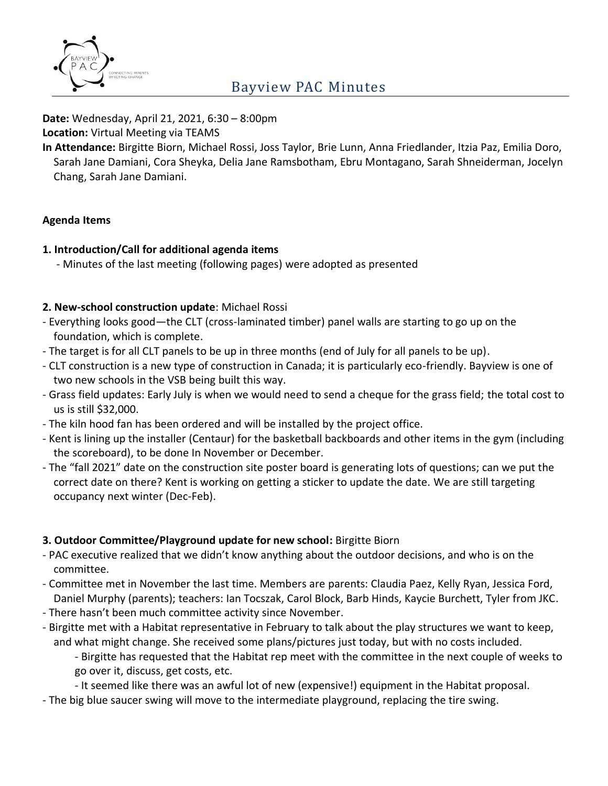

**Date:** Wednesday, April 21, 2021, 6:30 – 8:00pm

**Location:** Virtual Meeting via TEAMS

**In Attendance:** Birgitte Biorn, Michael Rossi, Joss Taylor, Brie Lunn, Anna Friedlander, Itzia Paz, Emilia Doro, Sarah Jane Damiani, Cora Sheyka, Delia Jane Ramsbotham, Ebru Montagano, Sarah Shneiderman, Jocelyn Chang, Sarah Jane Damiani.

## **Agenda Items**

## **1. Introduction/Call for additional agenda items**

- Minutes of the last meeting (following pages) were adopted as presented

## **2. New-school construction update**: Michael Rossi

- Everything looks good—the CLT (cross-laminated timber) panel walls are starting to go up on the foundation, which is complete.
- The target is for all CLT panels to be up in three months (end of July for all panels to be up).
- CLT construction is a new type of construction in Canada; it is particularly eco-friendly. Bayview is one of two new schools in the VSB being built this way.
- Grass field updates: Early July is when we would need to send a cheque for the grass field; the total cost to us is still \$32,000.
- The kiln hood fan has been ordered and will be installed by the project office.
- Kent is lining up the installer (Centaur) for the basketball backboards and other items in the gym (including the scoreboard), to be done In November or December.
- The "fall 2021" date on the construction site poster board is generating lots of questions; can we put the correct date on there? Kent is working on getting a sticker to update the date. We are still targeting occupancy next winter (Dec-Feb).

### **3. Outdoor Committee/Playground update for new school:** Birgitte Biorn

- PAC executive realized that we didn't know anything about the outdoor decisions, and who is on the committee.
- Committee met in November the last time. Members are parents: Claudia Paez, Kelly Ryan, Jessica Ford, Daniel Murphy (parents); teachers: Ian Tocszak, Carol Block, Barb Hinds, Kaycie Burchett, Tyler from JKC.
- There hasn't been much committee activity since November.
- Birgitte met with a Habitat representative in February to talk about the play structures we want to keep, and what might change. She received some plans/pictures just today, but with no costs included.

- Birgitte has requested that the Habitat rep meet with the committee in the next couple of weeks to go over it, discuss, get costs, etc.

- It seemed like there was an awful lot of new (expensive!) equipment in the Habitat proposal.

- The big blue saucer swing will move to the intermediate playground, replacing the tire swing.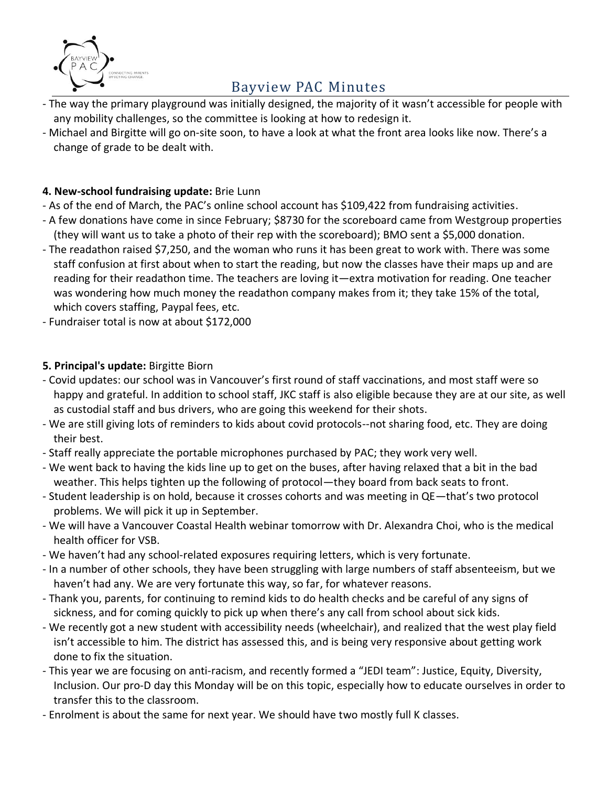

- The way the primary playground was initially designed, the majority of it wasn't accessible for people with any mobility challenges, so the committee is looking at how to redesign it.
- Michael and Birgitte will go on-site soon, to have a look at what the front area looks like now. There's a change of grade to be dealt with.

### **4. New-school fundraising update:** Brie Lunn

- As of the end of March, the PAC's online school account has \$109,422 from fundraising activities.
- A few donations have come in since February; \$8730 for the scoreboard came from Westgroup properties (they will want us to take a photo of their rep with the scoreboard); BMO sent a \$5,000 donation.
- The readathon raised \$7,250, and the woman who runs it has been great to work with. There was some staff confusion at first about when to start the reading, but now the classes have their maps up and are reading for their readathon time. The teachers are loving it—extra motivation for reading. One teacher was wondering how much money the readathon company makes from it; they take 15% of the total, which covers staffing, Paypal fees, etc.
- Fundraiser total is now at about \$172,000

## **5. Principal's update:** Birgitte Biorn

- Covid updates: our school was in Vancouver's first round of staff vaccinations, and most staff were so happy and grateful. In addition to school staff, JKC staff is also eligible because they are at our site, as well as custodial staff and bus drivers, who are going this weekend for their shots.
- We are still giving lots of reminders to kids about covid protocols--not sharing food, etc. They are doing their best.
- Staff really appreciate the portable microphones purchased by PAC; they work very well.
- We went back to having the kids line up to get on the buses, after having relaxed that a bit in the bad weather. This helps tighten up the following of protocol—they board from back seats to front.
- Student leadership is on hold, because it crosses cohorts and was meeting in QE—that's two protocol problems. We will pick it up in September.
- We will have a Vancouver Coastal Health webinar tomorrow with Dr. Alexandra Choi, who is the medical health officer for VSB.
- We haven't had any school-related exposures requiring letters, which is very fortunate.
- In a number of other schools, they have been struggling with large numbers of staff absenteeism, but we haven't had any. We are very fortunate this way, so far, for whatever reasons.
- Thank you, parents, for continuing to remind kids to do health checks and be careful of any signs of sickness, and for coming quickly to pick up when there's any call from school about sick kids.
- We recently got a new student with accessibility needs (wheelchair), and realized that the west play field isn't accessible to him. The district has assessed this, and is being very responsive about getting work done to fix the situation.
- This year we are focusing on anti-racism, and recently formed a "JEDI team": Justice, Equity, Diversity, Inclusion. Our pro-D day this Monday will be on this topic, especially how to educate ourselves in order to transfer this to the classroom.
- Enrolment is about the same for next year. We should have two mostly full K classes.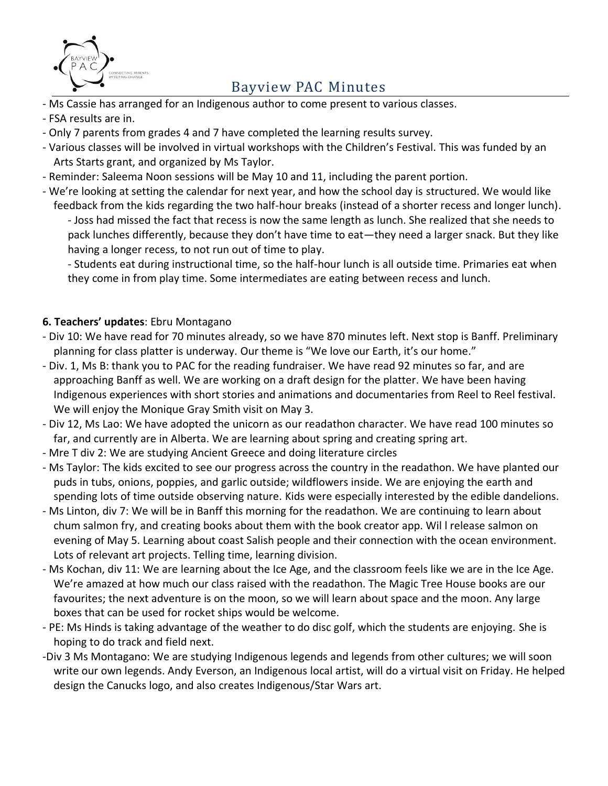

- Ms Cassie has arranged for an Indigenous author to come present to various classes.
- FSA results are in.
- Only 7 parents from grades 4 and 7 have completed the learning results survey.
- Various classes will be involved in virtual workshops with the Children's Festival. This was funded by an Arts Starts grant, and organized by Ms Taylor.
- Reminder: Saleema Noon sessions will be May 10 and 11, including the parent portion.
- We're looking at setting the calendar for next year, and how the school day is structured. We would like feedback from the kids regarding the two half-hour breaks (instead of a shorter recess and longer lunch). - Joss had missed the fact that recess is now the same length as lunch. She realized that she needs to pack lunches differently, because they don't have time to eat—they need a larger snack. But they like having a longer recess, to not run out of time to play.

- Students eat during instructional time, so the half-hour lunch is all outside time. Primaries eat when they come in from play time. Some intermediates are eating between recess and lunch.

#### **6. Teachers' updates**: Ebru Montagano

- Div 10: We have read for 70 minutes already, so we have 870 minutes left. Next stop is Banff. Preliminary planning for class platter is underway. Our theme is "We love our Earth, it's our home."
- Div. 1, Ms B: thank you to PAC for the reading fundraiser. We have read 92 minutes so far, and are approaching Banff as well. We are working on a draft design for the platter. We have been having Indigenous experiences with short stories and animations and documentaries from Reel to Reel festival. We will enjoy the Monique Gray Smith visit on May 3.
- Div 12, Ms Lao: We have adopted the unicorn as our readathon character. We have read 100 minutes so far, and currently are in Alberta. We are learning about spring and creating spring art.
- Mre T div 2: We are studying Ancient Greece and doing literature circles
- Ms Taylor: The kids excited to see our progress across the country in the readathon. We have planted our puds in tubs, onions, poppies, and garlic outside; wildflowers inside. We are enjoying the earth and spending lots of time outside observing nature. Kids were especially interested by the edible dandelions.
- Ms Linton, div 7: We will be in Banff this morning for the readathon. We are continuing to learn about chum salmon fry, and creating books about them with the book creator app. Wil l release salmon on evening of May 5. Learning about coast Salish people and their connection with the ocean environment. Lots of relevant art projects. Telling time, learning division.
- Ms Kochan, div 11: We are learning about the Ice Age, and the classroom feels like we are in the Ice Age. We're amazed at how much our class raised with the readathon. The Magic Tree House books are our favourites; the next adventure is on the moon, so we will learn about space and the moon. Any large boxes that can be used for rocket ships would be welcome.
- PE: Ms Hinds is taking advantage of the weather to do disc golf, which the students are enjoying. She is hoping to do track and field next.
- -Div 3 Ms Montagano: We are studying Indigenous legends and legends from other cultures; we will soon write our own legends. Andy Everson, an Indigenous local artist, will do a virtual visit on Friday. He helped design the Canucks logo, and also creates Indigenous/Star Wars art.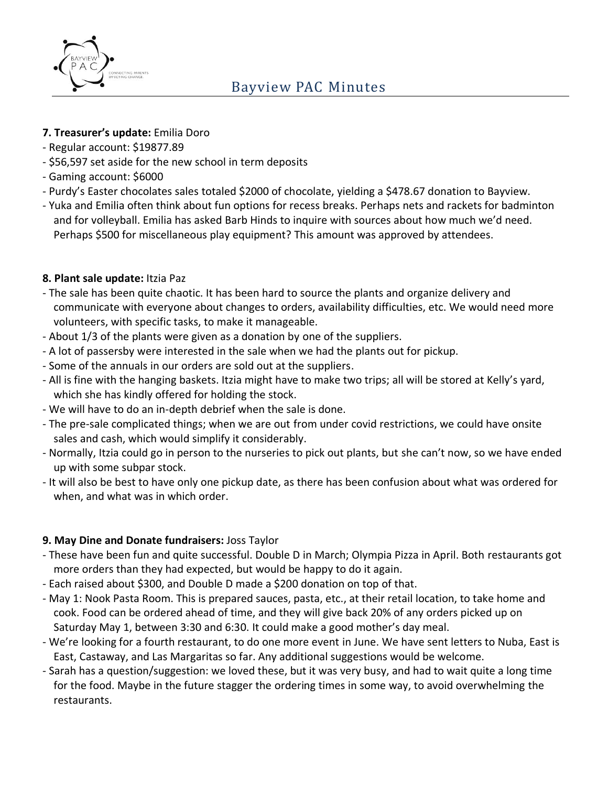

### **7. Treasurer's update:** Emilia Doro

- Regular account: \$19877.89
- \$56,597 set aside for the new school in term deposits
- Gaming account: \$6000
- Purdy's Easter chocolates sales totaled \$2000 of chocolate, yielding a \$478.67 donation to Bayview.
- Yuka and Emilia often think about fun options for recess breaks. Perhaps nets and rackets for badminton and for volleyball. Emilia has asked Barb Hinds to inquire with sources about how much we'd need. Perhaps \$500 for miscellaneous play equipment? This amount was approved by attendees.

### **8. Plant sale update:** Itzia Paz

- The sale has been quite chaotic. It has been hard to source the plants and organize delivery and communicate with everyone about changes to orders, availability difficulties, etc. We would need more volunteers, with specific tasks, to make it manageable.
- About 1/3 of the plants were given as a donation by one of the suppliers.
- A lot of passersby were interested in the sale when we had the plants out for pickup.
- Some of the annuals in our orders are sold out at the suppliers.
- All is fine with the hanging baskets. Itzia might have to make two trips; all will be stored at Kelly's yard, which she has kindly offered for holding the stock.
- We will have to do an in-depth debrief when the sale is done.
- The pre-sale complicated things; when we are out from under covid restrictions, we could have onsite sales and cash, which would simplify it considerably.
- Normally, Itzia could go in person to the nurseries to pick out plants, but she can't now, so we have ended up with some subpar stock.
- It will also be best to have only one pickup date, as there has been confusion about what was ordered for when, and what was in which order.

### **9. May Dine and Donate fundraisers:** Joss Taylor

- These have been fun and quite successful. Double D in March; Olympia Pizza in April. Both restaurants got more orders than they had expected, but would be happy to do it again.
- Each raised about \$300, and Double D made a \$200 donation on top of that.
- May 1: Nook Pasta Room. This is prepared sauces, pasta, etc., at their retail location, to take home and cook. Food can be ordered ahead of time, and they will give back 20% of any orders picked up on Saturday May 1, between 3:30 and 6:30. It could make a good mother's day meal.
- We're looking for a fourth restaurant, to do one more event in June. We have sent letters to Nuba, East is East, Castaway, and Las Margaritas so far. Any additional suggestions would be welcome.
- Sarah has a question/suggestion: we loved these, but it was very busy, and had to wait quite a long time for the food. Maybe in the future stagger the ordering times in some way, to avoid overwhelming the restaurants.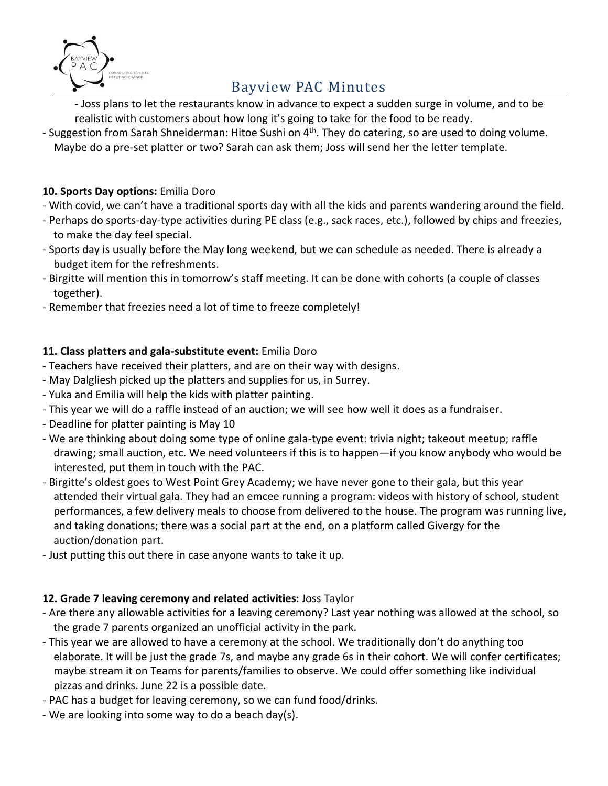

- Joss plans to let the restaurants know in advance to expect a sudden surge in volume, and to be realistic with customers about how long it's going to take for the food to be ready.

- Suggestion from Sarah Shneiderman: Hitoe Sushi on 4<sup>th</sup>. They do catering, so are used to doing volume. Maybe do a pre-set platter or two? Sarah can ask them; Joss will send her the letter template.

### **10. Sports Day options:** Emilia Doro

- With covid, we can't have a traditional sports day with all the kids and parents wandering around the field.
- Perhaps do sports-day-type activities during PE class (e.g., sack races, etc.), followed by chips and freezies, to make the day feel special.
- Sports day is usually before the May long weekend, but we can schedule as needed. There is already a budget item for the refreshments.
- Birgitte will mention this in tomorrow's staff meeting. It can be done with cohorts (a couple of classes together).
- Remember that freezies need a lot of time to freeze completely!

#### **11. Class platters and gala-substitute event:** Emilia Doro

- Teachers have received their platters, and are on their way with designs.
- May Dalgliesh picked up the platters and supplies for us, in Surrey.
- Yuka and Emilia will help the kids with platter painting.
- This year we will do a raffle instead of an auction; we will see how well it does as a fundraiser.
- Deadline for platter painting is May 10
- We are thinking about doing some type of online gala-type event: trivia night; takeout meetup; raffle drawing; small auction, etc. We need volunteers if this is to happen—if you know anybody who would be interested, put them in touch with the PAC.
- Birgitte's oldest goes to West Point Grey Academy; we have never gone to their gala, but this year attended their virtual gala. They had an emcee running a program: videos with history of school, student performances, a few delivery meals to choose from delivered to the house. The program was running live, and taking donations; there was a social part at the end, on a platform called Givergy for the auction/donation part.
- Just putting this out there in case anyone wants to take it up.

### **12. Grade 7 leaving ceremony and related activities:** Joss Taylor

- Are there any allowable activities for a leaving ceremony? Last year nothing was allowed at the school, so the grade 7 parents organized an unofficial activity in the park.
- This year we are allowed to have a ceremony at the school. We traditionally don't do anything too elaborate. It will be just the grade 7s, and maybe any grade 6s in their cohort. We will confer certificates; maybe stream it on Teams for parents/families to observe. We could offer something like individual pizzas and drinks. June 22 is a possible date.
- PAC has a budget for leaving ceremony, so we can fund food/drinks.
- We are looking into some way to do a beach day(s).